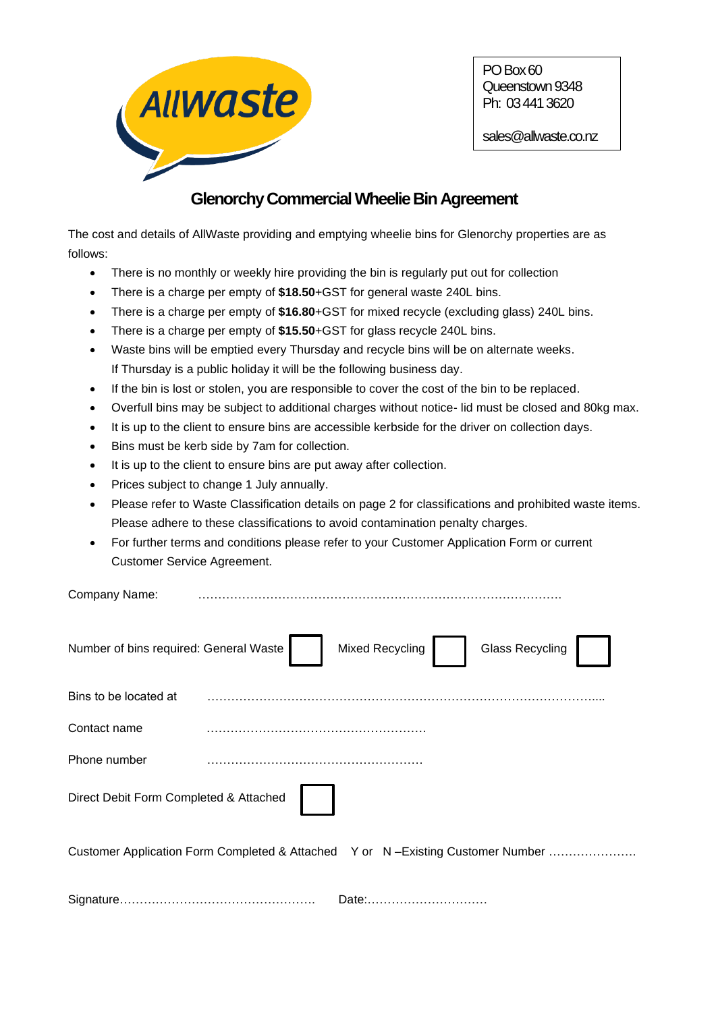

PO Box 60 Queenstown 9348 Ph: 03 441 3620

sales@allwaste.co.nz

# **GlenorchyCommercial Wheelie Bin Agreement**

The cost and details of AllWaste providing and emptying wheelie bins for Glenorchy properties are as follows:

- There is no monthly or weekly hire providing the bin is regularly put out for collection
- There is a charge per empty of **\$18.50**+GST for general waste 240L bins.
- There is a charge per empty of **\$16.80**+GST for mixed recycle (excluding glass) 240L bins.
- There is a charge per empty of **\$15.50**+GST for glass recycle 240L bins.
- Waste bins will be emptied every Thursday and recycle bins will be on alternate weeks. If Thursday is a public holiday it will be the following business day.
- If the bin is lost or stolen, you are responsible to cover the cost of the bin to be replaced.
- Overfull bins may be subject to additional charges without notice- lid must be closed and 80kg max.
- It is up to the client to ensure bins are accessible kerbside for the driver on collection days.
- Bins must be kerb side by 7am for collection.
- It is up to the client to ensure bins are put away after collection.
- Prices subject to change 1 July annually.
- Please refer to Waste Classification details on page 2 for classifications and prohibited waste items. Please adhere to these classifications to avoid contamination penalty charges.
- For further terms and conditions please refer to your Customer Application Form or current Customer Service Agreement.

| Company Name:                          |                                                                                |
|----------------------------------------|--------------------------------------------------------------------------------|
| Number of bins required: General Waste | Mixed Recycling<br><b>Glass Recycling</b>                                      |
| Bins to be located at                  |                                                                                |
| Contact name                           |                                                                                |
| Phone number                           |                                                                                |
| Direct Debit Form Completed & Attached |                                                                                |
|                                        | Customer Application Form Completed & Attached Y or N-Existing Customer Number |
|                                        | Date:                                                                          |